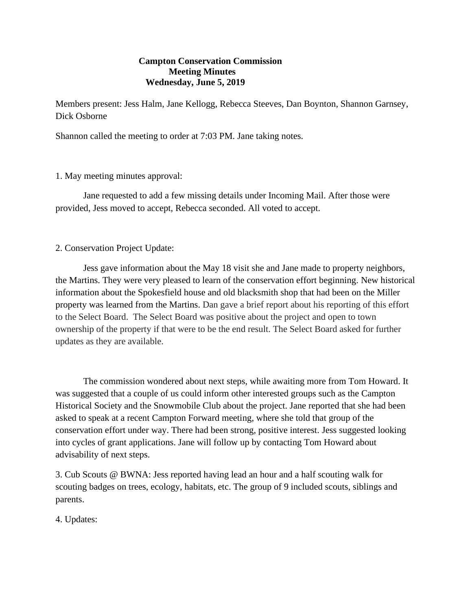## **Campton Conservation Commission Meeting Minutes Wednesday, June 5, 2019**

Members present: Jess Halm, Jane Kellogg, Rebecca Steeves, Dan Boynton, Shannon Garnsey, Dick Osborne

Shannon called the meeting to order at 7:03 PM. Jane taking notes.

### 1. May meeting minutes approval:

Jane requested to add a few missing details under Incoming Mail. After those were provided, Jess moved to accept, Rebecca seconded. All voted to accept.

# 2. Conservation Project Update:

Jess gave information about the May 18 visit she and Jane made to property neighbors, the Martins. They were very pleased to learn of the conservation effort beginning. New historical information about the Spokesfield house and old blacksmith shop that had been on the Miller property was learned from the Martins. Dan gave a brief report about his reporting of this effort to the Select Board. The Select Board was positive about the project and open to town ownership of the property if that were to be the end result. The Select Board asked for further updates as they are available.

The commission wondered about next steps, while awaiting more from Tom Howard. It was suggested that a couple of us could inform other interested groups such as the Campton Historical Society and the Snowmobile Club about the project. Jane reported that she had been asked to speak at a recent Campton Forward meeting, where she told that group of the conservation effort under way. There had been strong, positive interest. Jess suggested looking into cycles of grant applications. Jane will follow up by contacting Tom Howard about advisability of next steps.

3. Cub Scouts @ BWNA: Jess reported having lead an hour and a half scouting walk for scouting badges on trees, ecology, habitats, etc. The group of 9 included scouts, siblings and parents.

4. Updates: